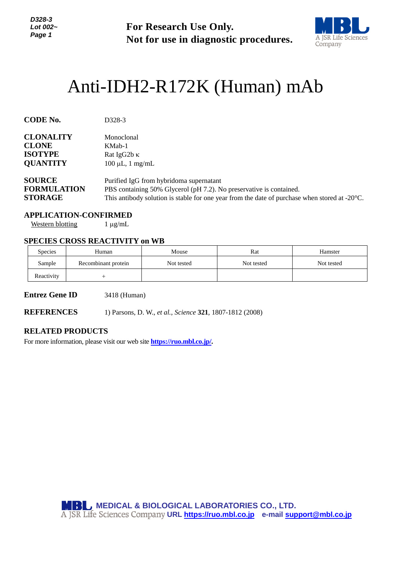*D328-3 Lot 002~ Page 1*

**For Research Use Only. Not for use in diagnostic procedures.**



# Anti-IDH2-R172K (Human) mAb

| <b>CODE No.</b>    | D <sub>328</sub> -3                                                                                     |
|--------------------|---------------------------------------------------------------------------------------------------------|
| <b>CLONALITY</b>   | Monoclonal                                                                                              |
| <b>CLONE</b>       | KMab-1                                                                                                  |
| <b>ISOTYPE</b>     | Rat IgG2b $\kappa$                                                                                      |
| <b>QUANTITY</b>    | $100 \mu L$ , 1 mg/mL                                                                                   |
| <b>SOURCE</b>      | Purified IgG from hybridoma supernatant                                                                 |
| <b>FORMULATION</b> | PBS containing 50% Glycerol (pH 7.2). No preservative is contained.                                     |
| <b>STORAGE</b>     | This antibody solution is stable for one year from the date of purchase when stored at $-20^{\circ}$ C. |

#### **APPLICATION-CONFIRMED**

Western blotting  $1 \mu g/mL$ 

### **SPECIES CROSS REACTIVITY on WB**

| <b>Species</b> | Human               | Mouse      | Rat        | Hamster    |
|----------------|---------------------|------------|------------|------------|
| Sample         | Recombinant protein | Not tested | Not tested | Not tested |
| Reactivity     |                     |            |            |            |

**Entrez Gene ID** 3418 (Human)

**REFERENCES** 1) Parsons, D. W., *et al.*, *Science* **321**, 1807-1812 (2008)

## **RELATED PRODUCTS**

For more information, please visit our web site **[https://ruo.mbl.co.jp/.](https://ruo.mbl.co.jp/)**